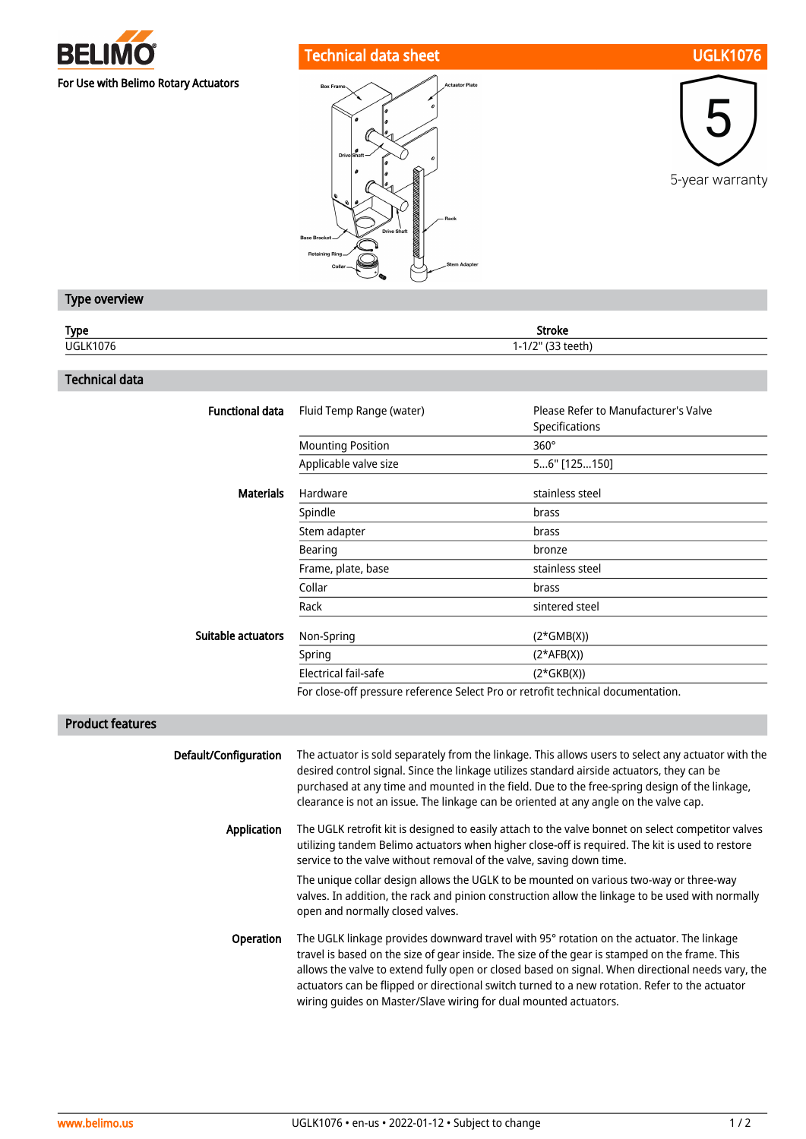

# Technical data sheet UGLK1076





## Type overview

| <b>Type</b>     | Stroke                      |
|-----------------|-----------------------------|
| <b>UGLK1076</b> | 121<br>$1 - 1/2$<br>י נככנו |
|                 |                             |

#### Technical data

| <b>Functional data</b> | Fluid Temp Range (water) | Please Refer to Manufacturer's Valve<br>Specifications |
|------------------------|--------------------------|--------------------------------------------------------|
|                        | <b>Mounting Position</b> | $360^\circ$                                            |
|                        | Applicable valve size    | 56" [125150]                                           |
| <b>Materials</b>       | Hardware                 | stainless steel                                        |
|                        | Spindle                  | brass                                                  |
|                        | Stem adapter             | brass                                                  |
|                        | Bearing                  | bronze                                                 |
|                        | Frame, plate, base       | stainless steel                                        |
|                        | Collar                   | brass                                                  |
|                        | Rack                     | sintered steel                                         |
| Suitable actuators     | Non-Spring               | $(2*GMB(X))$                                           |
|                        | Spring                   | $(2*AFB(X))$                                           |
|                        | Electrical fail-safe     | $(2*GKB(X))$                                           |
|                        |                          |                                                        |

For close-off pressure reference Select Pro or retrofit technical documentation.

## Product features

| Default/Configuration | The actuator is sold separately from the linkage. This allows users to select any actuator with the<br>desired control signal. Since the linkage utilizes standard airside actuators, they can be<br>purchased at any time and mounted in the field. Due to the free-spring design of the linkage,<br>clearance is not an issue. The linkage can be oriented at any angle on the valve cap.                                                                           |
|-----------------------|-----------------------------------------------------------------------------------------------------------------------------------------------------------------------------------------------------------------------------------------------------------------------------------------------------------------------------------------------------------------------------------------------------------------------------------------------------------------------|
| Application           | The UGLK retrofit kit is designed to easily attach to the valve bonnet on select competitor valves<br>utilizing tandem Belimo actuators when higher close-off is required. The kit is used to restore<br>service to the valve without removal of the valve, saving down time.                                                                                                                                                                                         |
|                       | The unique collar design allows the UGLK to be mounted on various two-way or three-way<br>valves. In addition, the rack and pinion construction allow the linkage to be used with normally<br>open and normally closed valves.                                                                                                                                                                                                                                        |
| <b>Operation</b>      | The UGLK linkage provides downward travel with 95° rotation on the actuator. The linkage<br>travel is based on the size of gear inside. The size of the gear is stamped on the frame. This<br>allows the valve to extend fully open or closed based on signal. When directional needs vary, the<br>actuators can be flipped or directional switch turned to a new rotation. Refer to the actuator<br>wiring quides on Master/Slave wiring for dual mounted actuators. |